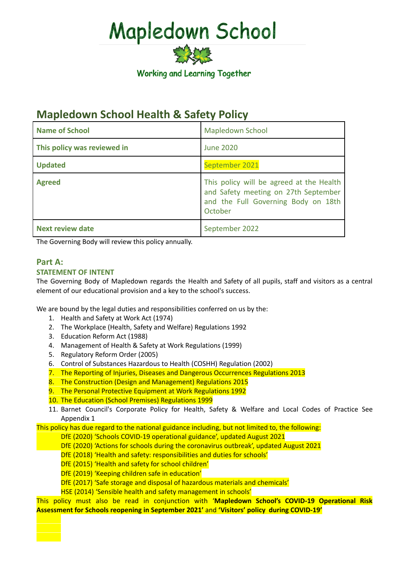

### **Mapledown School Health & Safety Policy**

| <b>Name of School</b>       | <b>Mapledown School</b>                                                                                                            |
|-----------------------------|------------------------------------------------------------------------------------------------------------------------------------|
| This policy was reviewed in | <b>June 2020</b>                                                                                                                   |
| <b>Updated</b>              | September 2021                                                                                                                     |
| <b>Agreed</b>               | This policy will be agreed at the Health<br>and Safety meeting on 27th September<br>and the Full Governing Body on 18th<br>October |
| <b>Next review date</b>     | September 2022                                                                                                                     |

The Governing Body will review this policy annually.

### **Part A:**

### **STATEMENT OF INTENT**

The Governing Body of Mapledown regards the Health and Safety of all pupils, staff and visitors as a central element of our educational provision and a key to the school's success.

We are bound by the legal duties and responsibilities conferred on us by the:

- 1. Health and Safety at Work Act (1974)
- 2. The Workplace (Health, Safety and Welfare) Regulations 1992
- 3. Education Reform Act (1988)
- 4. Management of Health & Safety at Work Regulations (1999)
- 5. Regulatory Reform Order (2005)
- 6. Control of Substances Hazardous to Health (COSHH) Regulation (2002)
- 7. The Reporting of Injuries, Diseases and Dangerous Occurrences Regulations 2013
- 8. The Construction (Design and Management) Regulations 2015
- 9. The Personal Protective Equipment at Work Regulations 1992
- 10. The Education (School Premises) Regulations 1999
- 11. Barnet Council's Corporate Policy for Health, Safety & Welfare and Local Codes of Practice See Appendix 1

This policy has due regard to the national guidance including, but not limited to, the following:

- DfE (2020) 'Schools COVID-19 operational guidance', updated August 2021
- DfE (2020) 'Actions for schools during the coronavirus outbreak', updated August 2021
- DfE (2018) 'Health and safety: responsibilities and duties for schools'
- DfE (2015) 'Health and safety for school children'
- DfE (2019) 'Keeping children safe in education'
- DfE (2017) 'Safe storage and disposal of hazardous materials and chemicals'
- HSE (2014) 'Sensible health and safety management in schools'

This policy must also be read in conjunction with '**Mapledown School's COVID-19 Operational Risk Assessment for Schools reopening in September 2021'** and **'Visitors' policy during COVID-19'**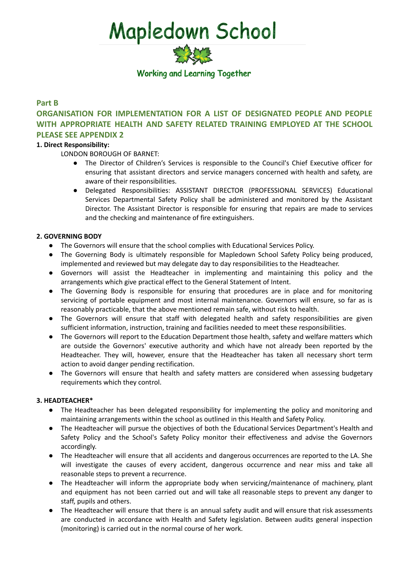

### **Part B**

### **ORGANISATION FOR IMPLEMENTATION FOR A LIST OF DESIGNATED PEOPLE AND PEOPLE WITH APPROPRIATE HEALTH AND SAFETY RELATED TRAINING EMPLOYED AT THE SCHOOL PLEASE SEE APPENDIX 2**

### **1. Direct Responsibility:**

LONDON BOROUGH OF BARNET:

- The Director of Children's Services is responsible to the Council's Chief Executive officer for ensuring that assistant directors and service managers concerned with health and safety, are aware of their responsibilities.
- Delegated Responsibilities: ASSISTANT DIRECTOR (PROFESSIONAL SERVICES) Educational Services Departmental Safety Policy shall be administered and monitored by the Assistant Director. The Assistant Director is responsible for ensuring that repairs are made to services and the checking and maintenance of fire extinguishers.

### **2. GOVERNING BODY**

- The Governors will ensure that the school complies with Educational Services Policy.
- The Governing Body is ultimately responsible for Mapledown School Safety Policy being produced, implemented and reviewed but may delegate day to day responsibilities to the Headteacher.
- Governors will assist the Headteacher in implementing and maintaining this policy and the arrangements which give practical effect to the General Statement of Intent.
- The Governing Body is responsible for ensuring that procedures are in place and for monitoring servicing of portable equipment and most internal maintenance. Governors will ensure, so far as is reasonably practicable, that the above mentioned remain safe, without risk to health.
- The Governors will ensure that staff with delegated health and safety responsibilities are given sufficient information, instruction, training and facilities needed to meet these responsibilities.
- The Governors will report to the Education Department those health, safety and welfare matters which are outside the Governors' executive authority and which have not already been reported by the Headteacher. They will, however, ensure that the Headteacher has taken all necessary short term action to avoid danger pending rectification.
- The Governors will ensure that health and safety matters are considered when assessing budgetary requirements which they control.

### **3. HEADTEACHER\***

- The Headteacher has been delegated responsibility for implementing the policy and monitoring and maintaining arrangements within the school as outlined in this Health and Safety Policy.
- The Headteacher will pursue the objectives of both the Educational Services Department's Health and Safety Policy and the School's Safety Policy monitor their effectiveness and advise the Governors accordingly.
- The Headteacher will ensure that all accidents and dangerous occurrences are reported to the LA. She will investigate the causes of every accident, dangerous occurrence and near miss and take all reasonable steps to prevent a recurrence.
- The Headteacher will inform the appropriate body when servicing/maintenance of machinery, plant and equipment has not been carried out and will take all reasonable steps to prevent any danger to staff, pupils and others.
- The Headteacher will ensure that there is an annual safety audit and will ensure that risk assessments are conducted in accordance with Health and Safety legislation. Between audits general inspection (monitoring) is carried out in the normal course of her work.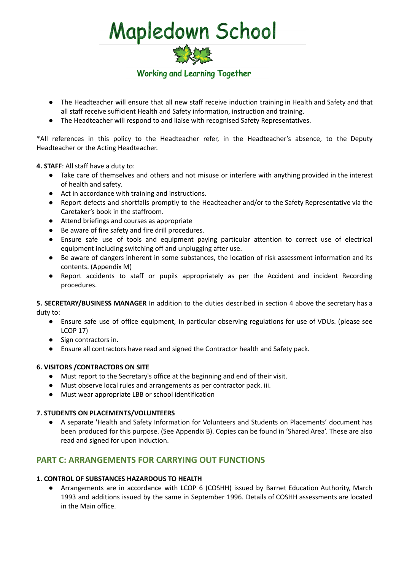

- The Headteacher will ensure that all new staff receive induction training in Health and Safety and that all staff receive sufficient Health and Safety information, instruction and training.
- The Headteacher will respond to and liaise with recognised Safety Representatives.

\*All references in this policy to the Headteacher refer, in the Headteacher's absence, to the Deputy Headteacher or the Acting Headteacher.

**4. STAFF**: All staff have a duty to:

- Take care of themselves and others and not misuse or interfere with anything provided in the interest of health and safety.
- Act in accordance with training and instructions.
- Report defects and shortfalls promptly to the Headteacher and/or to the Safety Representative via the Caretaker's book in the staffroom.
- Attend briefings and courses as appropriate
- Be aware of fire safety and fire drill procedures.
- Ensure safe use of tools and equipment paying particular attention to correct use of electrical equipment including switching off and unplugging after use.
- Be aware of dangers inherent in some substances, the location of risk assessment information and its contents. (Appendix M)
- Report accidents to staff or pupils appropriately as per the Accident and incident Recording procedures.

**5. SECRETARY/BUSINESS MANAGER** In addition to the duties described in section 4 above the secretary has a duty to:

- Ensure safe use of office equipment, in particular observing regulations for use of VDUs. (please see LCOP 17)
- Sign contractors in.
- Ensure all contractors have read and signed the Contractor health and Safety pack.

### **6. VISITORS /CONTRACTORS ON SITE**

- Must report to the Secretary's office at the beginning and end of their visit.
- Must observe local rules and arrangements as per contractor pack. iii.
- Must wear appropriate LBB or school identification

### **7. STUDENTS ON PLACEMENTS/VOLUNTEERS**

● A separate 'Health and Safety Information for Volunteers and Students on Placements' document has been produced for this purpose. (See Appendix B). Copies can be found in 'Shared Area'. These are also read and signed for upon induction.

### **PART C: ARRANGEMENTS FOR CARRYING OUT FUNCTIONS**

### **1. CONTROL OF SUBSTANCES HAZARDOUS TO HEALTH**

● Arrangements are in accordance with LCOP 6 (COSHH) issued by Barnet Education Authority, March 1993 and additions issued by the same in September 1996. Details of COSHH assessments are located in the Main office.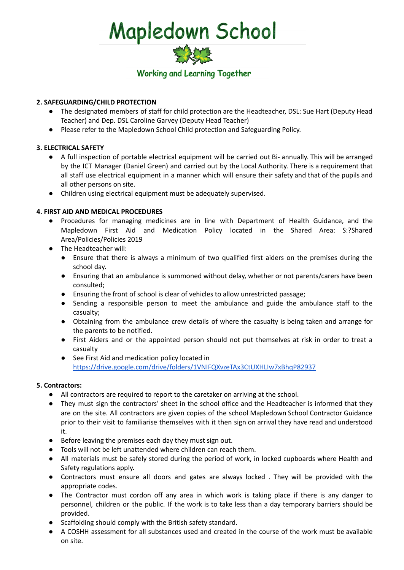

### **2. SAFEGUARDING/CHILD PROTECTION**

- The designated members of staff for child protection are the Headteacher, DSL: Sue Hart (Deputy Head Teacher) and Dep. DSL Caroline Garvey (Deputy Head Teacher)
- Please refer to the Mapledown School Child protection and Safeguarding Policy.

### **3. ELECTRICAL SAFETY**

- A full inspection of portable electrical equipment will be carried out Bi- annually. This will be arranged by the ICT Manager (Daniel Green) and carried out by the Local Authority. There is a requirement that all staff use electrical equipment in a manner which will ensure their safety and that of the pupils and all other persons on site.
- Children using electrical equipment must be adequately supervised.

### **4. FIRST AID AND MEDICAL PROCEDURES**

- Procedures for managing medicines are in line with Department of Health Guidance, and the Mapledown First Aid and Medication Policy located in the Shared Area: S:?Shared Area/Policies/Policies 2019
- The Headteacher will:
	- Ensure that there is always a minimum of two qualified first aiders on the premises during the school day.
	- Ensuring that an ambulance is summoned without delay, whether or not parents/carers have been consulted;
	- Ensuring the front of school is clear of vehicles to allow unrestricted passage;
	- Sending a responsible person to meet the ambulance and guide the ambulance staff to the casualty;
	- Obtaining from the ambulance crew details of where the casualty is being taken and arrange for the parents to be notified.
	- First Aiders and or the appointed person should not put themselves at risk in order to treat a casualty
	- See First Aid and medication policy located in <https://drive.google.com/drive/folders/1VNIFQXvzeTAx3CtUXHLIw7xBhqP82937>

### **5. Contractors:**

- All contractors are required to report to the caretaker on arriving at the school.
- They must sign the contractors' sheet in the school office and the Headteacher is informed that they are on the site. All contractors are given copies of the school Mapledown School Contractor Guidance prior to their visit to familiarise themselves with it then sign on arrival they have read and understood it.
- Before leaving the premises each day they must sign out.
- Tools will not be left unattended where children can reach them.
- All materials must be safely stored during the period of work, in locked cupboards where Health and Safety regulations apply.
- Contractors must ensure all doors and gates are always locked . They will be provided with the appropriate codes.
- The Contractor must cordon off any area in which work is taking place if there is any danger to personnel, children or the public. If the work is to take less than a day temporary barriers should be provided.
- Scaffolding should comply with the British safety standard.
- A COSHH assessment for all substances used and created in the course of the work must be available on site.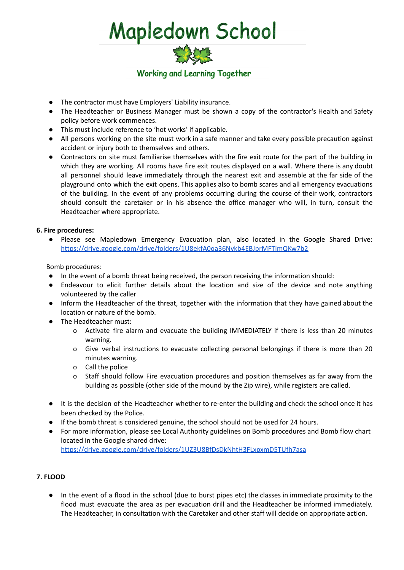

- The contractor must have Employers' Liability insurance.
- The Headteacher or Business Manager must be shown a copy of the contractor's Health and Safety policy before work commences.
- This must include reference to 'hot works' if applicable.
- All persons working on the site must work in a safe manner and take every possible precaution against accident or injury both to themselves and others.
- Contractors on site must familiarise themselves with the fire exit route for the part of the building in which they are working. All rooms have fire exit routes displayed on a wall. Where there is any doubt all personnel should leave immediately through the nearest exit and assemble at the far side of the playground onto which the exit opens. This applies also to bomb scares and all emergency evacuations of the building. In the event of any problems occurring during the course of their work, contractors should consult the caretaker or in his absence the office manager who will, in turn, consult the Headteacher where appropriate.

### **6. Fire procedures:**

● Please see Mapledown Emergency Evacuation plan, also located in the Google Shared Drive: <https://drive.google.com/drive/folders/1U8ekfA0qa36Nvkb4EBJprMFTjmQKw7b2>

Bomb procedures:

- In the event of a bomb threat being received, the person receiving the information should:
- Endeavour to elicit further details about the location and size of the device and note anything volunteered by the caller
- Inform the Headteacher of the threat, together with the information that they have gained about the location or nature of the bomb.
- The Headteacher must:
	- o Activate fire alarm and evacuate the building IMMEDIATELY if there is less than 20 minutes warning.
	- o Give verbal instructions to evacuate collecting personal belongings if there is more than 20 minutes warning.
	- o Call the police
	- o Staff should follow Fire evacuation procedures and position themselves as far away from the building as possible (other side of the mound by the Zip wire), while registers are called.
- It is the decision of the Headteacher whether to re-enter the building and check the school once it has been checked by the Police.
- If the bomb threat is considered genuine, the school should not be used for 24 hours.
- For more information, please see Local Authority guidelines on Bomb procedures and Bomb flow chart located in the Google shared drive: <https://drive.google.com/drive/folders/1UZ3U8BfDsDkNhtH3FLxpxmD5TUfh7asa>

### **7. FLOOD**

● In the event of a flood in the school (due to burst pipes etc) the classes in immediate proximity to the flood must evacuate the area as per evacuation drill and the Headteacher be informed immediately. The Headteacher, in consultation with the Caretaker and other staff will decide on appropriate action.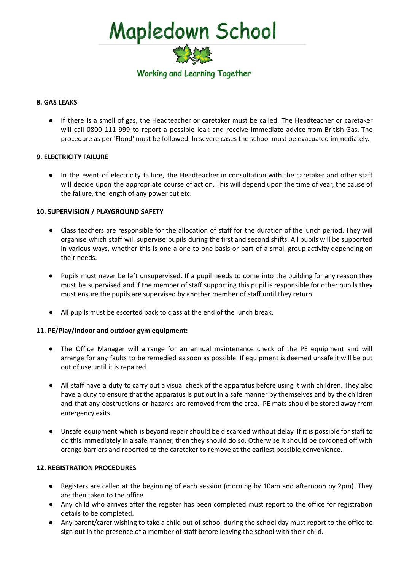

### **8. GAS LEAKS**

● If there is a smell of gas, the Headteacher or caretaker must be called. The Headteacher or caretaker will call 0800 111 999 to report a possible leak and receive immediate advice from British Gas. The procedure as per 'Flood' must be followed. In severe cases the school must be evacuated immediately.

### **9. ELECTRICITY FAILURE**

● In the event of electricity failure, the Headteacher in consultation with the caretaker and other staff will decide upon the appropriate course of action. This will depend upon the time of year, the cause of the failure, the length of any power cut etc.

### **10. SUPERVISION / PLAYGROUND SAFETY**

- Class teachers are responsible for the allocation of staff for the duration of the lunch period. They will organise which staff will supervise pupils during the first and second shifts. All pupils will be supported in various ways, whether this is one a one to one basis or part of a small group activity depending on their needs.
- Pupils must never be left unsupervised. If a pupil needs to come into the building for any reason they must be supervised and if the member of staff supporting this pupil is responsible for other pupils they must ensure the pupils are supervised by another member of staff until they return.
- All pupils must be escorted back to class at the end of the lunch break.

### **11. PE/Play/Indoor and outdoor gym equipment:**

- The Office Manager will arrange for an annual maintenance check of the PE equipment and will arrange for any faults to be remedied as soon as possible. If equipment is deemed unsafe it will be put out of use until it is repaired.
- All staff have a duty to carry out a visual check of the apparatus before using it with children. They also have a duty to ensure that the apparatus is put out in a safe manner by themselves and by the children and that any obstructions or hazards are removed from the area. PE mats should be stored away from emergency exits.
- Unsafe equipment which is beyond repair should be discarded without delay. If it is possible for staff to do this immediately in a safe manner, then they should do so. Otherwise it should be cordoned off with orange barriers and reported to the caretaker to remove at the earliest possible convenience.

### **12. REGISTRATION PROCEDURES**

- Registers are called at the beginning of each session (morning by 10am and afternoon by 2pm). They are then taken to the office.
- Any child who arrives after the register has been completed must report to the office for registration details to be completed.
- Any parent/carer wishing to take a child out of school during the school day must report to the office to sign out in the presence of a member of staff before leaving the school with their child.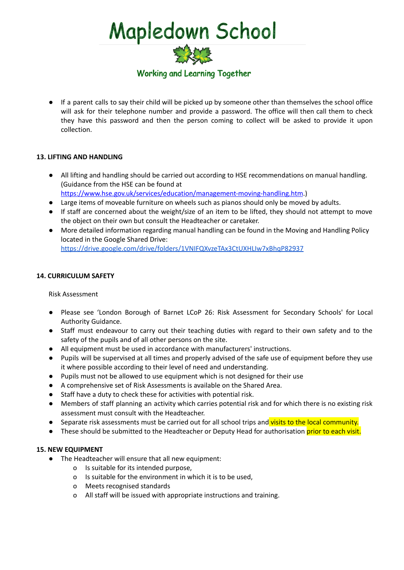

● If a parent calls to say their child will be picked up by someone other than themselves the school office will ask for their telephone number and provide a password. The office will then call them to check they have this password and then the person coming to collect will be asked to provide it upon collection.

### **13. LIFTING AND HANDLING**

- All lifting and handling should be carried out according to HSE recommendations on manual handling. (Guidance from the HSE can be found at <https://www.hse.gov.uk/services/education/management-moving-handling.htm>.)
- Large items of moveable furniture on wheels such as pianos should only be moved by adults.
- If staff are concerned about the weight/size of an item to be lifted, they should not attempt to move the object on their own but consult the Headteacher or caretaker.
- More detailed information regarding manual handling can be found in the Moving and Handling Policy located in the Google Shared Drive: <https://drive.google.com/drive/folders/1VNIFQXvzeTAx3CtUXHLIw7xBhqP82937>

### Risk Assessment

**14. CURRICULUM SAFETY**

- Please see 'London Borough of Barnet LCoP 26: Risk Assessment for Secondary Schools' for Local Authority Guidance.
- Staff must endeavour to carry out their teaching duties with regard to their own safety and to the safety of the pupils and of all other persons on the site.
- All equipment must be used in accordance with manufacturers' instructions.
- Pupils will be supervised at all times and properly advised of the safe use of equipment before they use it where possible according to their level of need and understanding.
- Pupils must not be allowed to use equipment which is not designed for their use
- A comprehensive set of Risk Assessments is available on the Shared Area.
- Staff have a duty to check these for activities with potential risk.
- Members of staff planning an activity which carries potential risk and for which there is no existing risk assessment must consult with the Headteacher.
- Separate risk assessments must be carried out for all school trips and visits to the local community.
- These should be submitted to the Headteacher or Deputy Head for authorisation prior to each visit.

### **15. NEW EQUIPMENT**

- The Headteacher will ensure that all new equipment:
	- o Is suitable for its intended purpose,
	- o Is suitable for the environment in which it is to be used,
	- o Meets recognised standards
	- o All staff will be issued with appropriate instructions and training.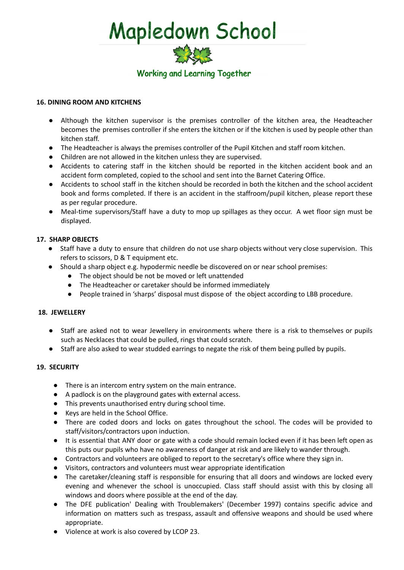

### **16. DINING ROOM AND KITCHENS**

- Although the kitchen supervisor is the premises controller of the kitchen area, the Headteacher becomes the premises controller if she enters the kitchen or if the kitchen is used by people other than kitchen staff.
- The Headteacher is always the premises controller of the Pupil Kitchen and staff room kitchen.
- Children are not allowed in the kitchen unless they are supervised.
- Accidents to catering staff in the kitchen should be reported in the kitchen accident book and an accident form completed, copied to the school and sent into the Barnet Catering Office.
- Accidents to school staff in the kitchen should be recorded in both the kitchen and the school accident book and forms completed. If there is an accident in the staffroom/pupil kitchen, please report these as per regular procedure.
- Meal-time supervisors/Staff have a duty to mop up spillages as they occur. A wet floor sign must be displayed.

### **17. SHARP OBJECTS**

- Staff have a duty to ensure that children do not use sharp objects without very close supervision. This refers to scissors, D & T equipment etc.
- Should a sharp object e.g. hypodermic needle be discovered on or near school premises:
	- The object should be not be moved or left unattended
	- The Headteacher or caretaker should be informed immediately
	- People trained in 'sharps' disposal must dispose of the object according to LBB procedure.

### **18. JEWELLERY**

- Staff are asked not to wear Jewellery in environments where there is a risk to themselves or pupils such as Necklaces that could be pulled, rings that could scratch.
- Staff are also asked to wear studded earrings to negate the risk of them being pulled by pupils.

### **19. SECURITY**

- There is an intercom entry system on the main entrance.
- A padlock is on the playground gates with external access.
- This prevents unauthorised entry during school time.
- Keys are held in the School Office.
- There are coded doors and locks on gates throughout the school. The codes will be provided to staff/visitors/contractors upon induction.
- It is essential that ANY door or gate with a code should remain locked even if it has been left open as this puts our pupils who have no awareness of danger at risk and are likely to wander through.
- Contractors and volunteers are obliged to report to the secretary's office where they sign in.
- Visitors, contractors and volunteers must wear appropriate identification
- The caretaker/cleaning staff is responsible for ensuring that all doors and windows are locked every evening and whenever the school is unoccupied. Class staff should assist with this by closing all windows and doors where possible at the end of the day.
- The DFE publication' Dealing with Troublemakers' (December 1997) contains specific advice and information on matters such as trespass, assault and offensive weapons and should be used where appropriate.
- Violence at work is also covered by LCOP 23.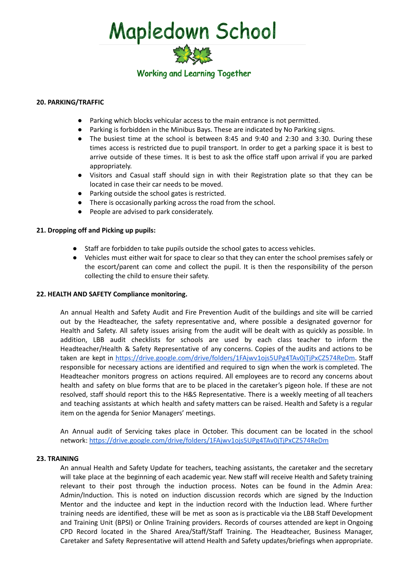

### **20. PARKING/TRAFFIC**

- Parking which blocks vehicular access to the main entrance is not permitted.
- Parking is forbidden in the Minibus Bays. These are indicated by No Parking signs.
- The busiest time at the school is between 8:45 and 9:40 and 2:30 and 3:30. During these times access is restricted due to pupil transport. In order to get a parking space it is best to arrive outside of these times. It is best to ask the office staff upon arrival if you are parked appropriately.
- Visitors and Casual staff should sign in with their Registration plate so that they can be located in case their car needs to be moved.
- Parking outside the school gates is restricted.
- There is occasionally parking across the road from the school.
- People are advised to park considerately.

### **21. Dropping off and Picking up pupils:**

- Staff are forbidden to take pupils outside the school gates to access vehicles.
- Vehicles must either wait for space to clear so that they can enter the school premises safely or the escort/parent can come and collect the pupil. It is then the responsibility of the person collecting the child to ensure their safety.

### **22. HEALTH AND SAFETY Compliance monitoring.**

An annual Health and Safety Audit and Fire Prevention Audit of the buildings and site will be carried out by the Headteacher, the safety representative and, where possible a designated governor for Health and Safety. All safety issues arising from the audit will be dealt with as quickly as possible. In addition, LBB audit checklists for schools are used by each class teacher to inform the Headteacher/Health & Safety Representative of any concerns. Copies of the audits and actions to be taken are kept in [https://drive.google.com/drive/folders/1FAjwv1ojs5UPg4TAv0jTjPxCZ574ReDm.](https://drive.google.com/drive/folders/1FAjwv1ojs5UPg4TAv0jTjPxCZ574ReDm) Staff responsible for necessary actions are identified and required to sign when the work is completed. The Headteacher monitors progress on actions required. All employees are to record any concerns about health and safety on blue forms that are to be placed in the caretaker's pigeon hole. If these are not resolved, staff should report this to the H&S Representative. There is a weekly meeting of all teachers and teaching assistants at which health and safety matters can be raised. Health and Safety is a regular item on the agenda for Senior Managers' meetings.

An Annual audit of Servicing takes place in October. This document can be located in the school network: <https://drive.google.com/drive/folders/1FAjwv1ojs5UPg4TAv0jTjPxCZ574ReDm>

### **23. TRAINING**

An annual Health and Safety Update for teachers, teaching assistants, the caretaker and the secretary will take place at the beginning of each academic year. New staff will receive Health and Safety training relevant to their post through the induction process. Notes can be found in the Admin Area: Admin/Induction. This is noted on induction discussion records which are signed by the Induction Mentor and the inductee and kept in the induction record with the Induction lead. Where further training needs are identified, these will be met as soon as is practicable via the LBB Staff Development and Training Unit (BPSI) or Online Training providers. Records of courses attended are kept in Ongoing CPD Record located in the Shared Area/Staff/Staff Training. The Headteacher, Business Manager, Caretaker and Safety Representative will attend Health and Safety updates/briefings when appropriate.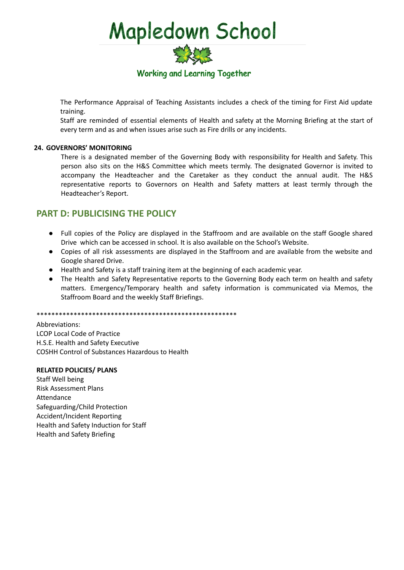

The Performance Appraisal of Teaching Assistants includes a check of the timing for First Aid update training.

Staff are reminded of essential elements of Health and safety at the Morning Briefing at the start of every term and as and when issues arise such as Fire drills or any incidents.

### **24. GOVERNORS' MONITORING**

There is a designated member of the Governing Body with responsibility for Health and Safety. This person also sits on the H&S Committee which meets termly. The designated Governor is invited to accompany the Headteacher and the Caretaker as they conduct the annual audit. The H&S representative reports to Governors on Health and Safety matters at least termly through the Headteacher's Report.

### **PART D: PUBLICISING THE POLICY**

- Full copies of the Policy are displayed in the Staffroom and are available on the staff Google shared Drive which can be accessed in school. It is also available on the School's Website.
- Copies of all risk assessments are displayed in the Staffroom and are available from the website and Google shared Drive.
- Health and Safety is a staff training item at the beginning of each academic year.
- The Health and Safety Representative reports to the Governing Body each term on health and safety matters. Emergency/Temporary health and safety information is communicated via Memos, the Staffroom Board and the weekly Staff Briefings.

\*\*\*\*\*\*\*\*\*\*\*\*\*\*\*\*\*\*\*\*\*\*\*\*\*\*\*\*\*\*\*\*\*\*\*\*\*\*\*\*\*\*\*\*\*\*\*\*\*\*\*\*\*\*

Abbreviations: LCOP Local Code of Practice H.S.E. Health and Safety Executive COSHH Control of Substances Hazardous to Health

### **RELATED POLICIES/ PLANS**

Staff Well being Risk Assessment Plans Attendance Safeguarding/Child Protection Accident/Incident Reporting Health and Safety Induction for Staff Health and Safety Briefing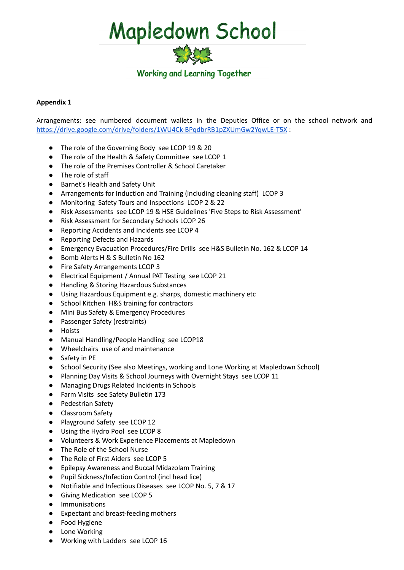

### **Appendix 1**

Arrangements: see numbered document wallets in the Deputies Office or on the school network and <https://drive.google.com/drive/folders/1WU4Ck-BPqdbrRB1pZXUmGw2YqwLE-T5X> :

- The role of the Governing Body see LCOP 19 & 20
- The role of the Health & Safety Committee see LCOP 1
- The role of the Premises Controller & School Caretaker
- The role of staff
- Barnet's Health and Safety Unit
- Arrangements for Induction and Training (including cleaning staff) LCOP 3
- Monitoring Safety Tours and Inspections LCOP 2 & 22
- Risk Assessments see LCOP 19 & HSE Guidelines 'Five Steps to Risk Assessment'
- Risk Assessment for Secondary Schools LCOP 26
- Reporting Accidents and Incidents see LCOP 4
- Reporting Defects and Hazards
- Emergency Evacuation Procedures/Fire Drills see H&S Bulletin No. 162 & LCOP 14
- Bomb Alerts H & S Bulletin No 162
- Fire Safety Arrangements LCOP 3
- Electrical Equipment / Annual PAT Testing see LCOP 21
- Handling & Storing Hazardous Substances
- Using Hazardous Equipment e.g. sharps, domestic machinery etc
- School Kitchen H&S training for contractors
- Mini Bus Safety & Emergency Procedures
- Passenger Safety (restraints)
- Hoists
- Manual Handling/People Handling see LCOP18
- Wheelchairs use of and maintenance
- Safety in PE
- School Security (See also Meetings, working and Lone Working at Mapledown School)
- Planning Day Visits & School Journeys with Overnight Stays see LCOP 11
- Managing Drugs Related Incidents in Schools
- Farm Visits see Safety Bulletin 173
- Pedestrian Safety
- Classroom Safety
- Playground Safety see LCOP 12
- Using the Hydro Pool see LCOP 8
- Volunteers & Work Experience Placements at Mapledown
- The Role of the School Nurse
- The Role of First Aiders see LCOP 5
- Epilepsy Awareness and Buccal Midazolam Training
- Pupil Sickness/Infection Control (incl head lice)
- Notifiable and Infectious Diseases see LCOP No. 5, 7 & 17
- Giving Medication see LCOP 5
- Immunisations
- Expectant and breast-feeding mothers
- Food Hygiene
- Lone Working
- Working with Ladders see LCOP 16